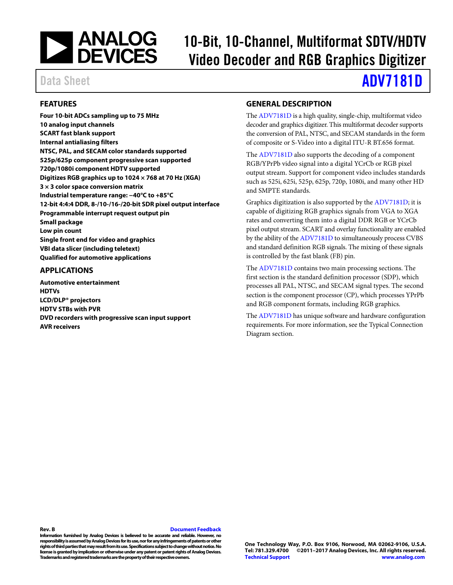

# 10-Bit, 10-Channel, Multiformat SDTV/HDTV Video Decoder and RGB Graphics Digitizer

# Data Sheet **[ADV7181D](http://www.analog.com/ADV7181D)**

#### <span id="page-0-0"></span>**FEATURES**

**Four 10-bit ADCs sampling up to 75 MHz 10 analog input channels SCART fast blank support Internal antialiasing filters NTSC, PAL, and SECAM color standards supported 525p/625p component progressive scan supported 720p/1080i component HDTV supported Digitizes RGB graphics up to 1024 × 768 at 70 Hz (XGA) 3 × 3 color space conversion matrix Industrial temperature range: −40°C to +85°C 12-bit 4:4:4 DDR, 8-/10-/16-/20-bit SDR pixel output interface Programmable interrupt request output pin Small package Low pin count Single front end for video and graphics VBI data slicer (including teletext) Qualified for automotive applications**

#### <span id="page-0-1"></span>**APPLICATIONS**

**Automotive entertainment HDTVs LCD/DLP® projectors HDTV STBs with PVR DVD recorders with progressive scan input support AVR receivers**

#### <span id="page-0-2"></span>**GENERAL DESCRIPTION**

Th[e ADV7181D](http://www.analog.com/ADV7181D) is a high quality, single-chip, multiformat video decoder and graphics digitizer. This multiformat decoder supports the conversion of PAL, NTSC, and SECAM standards in the form of composite or S-Video into a digital ITU-R BT.656 format.

The [ADV7181D](http://www.analog.com/ADV7181D) also supports the decoding of a component RGB/YPrPb video signal into a digital YCrCb or RGB pixel output stream. Support for component video includes standards such as 525i, 625i, 525p, 625p, 720p, 1080i, and many other HD and SMPTE standards.

Graphics digitization is also supported by th[e ADV7181D;](http://www.analog.com/ADV7181D) it is capable of digitizing RGB graphics signals from VGA to XGA rates and converting them into a digital DDR RGB or YCrCb pixel output stream. SCART and overlay functionality are enabled by the ability of th[e ADV7181D](http://www.analog.com/ADV7181D) to simultaneously process CVBS and standard definition RGB signals. The mixing of these signals is controlled by the fast blank (FB) pin.

The [ADV7181D](http://www.analog.com/ADV7181D) contains two main processing sections. The first section is the standard definition processor (SDP), which processes all PAL, NTSC, and SECAM signal types. The second section is the component processor (CP), which processes YPrPb and RGB component formats, including RGB graphics.

Th[e ADV7181D](http://www.analog.com/ADV7181D) has unique software and hardware configuration requirements. For more information, see the [Typical Connection](#page-19-0)  [Diagram](#page-19-0) section.

**Rev. B [Document Feedback](https://form.analog.com/Form_Pages/feedback/documentfeedback.aspx?doc=ADV7181D.pdf&product=ADV7181D&rev=b)**

**Information furnished by Analog Devices is believed to be accurate and reliable. However, no responsibility is assumed by Analog Devices for its use, nor for any infringements of patents or other rights of third parties that may result from its use. Specifications subject to change without notice. No license is granted by implication or otherwise under any patent or patent rights of Analog Devices. Trademarks and registered trademarks are the property of their respective owners.**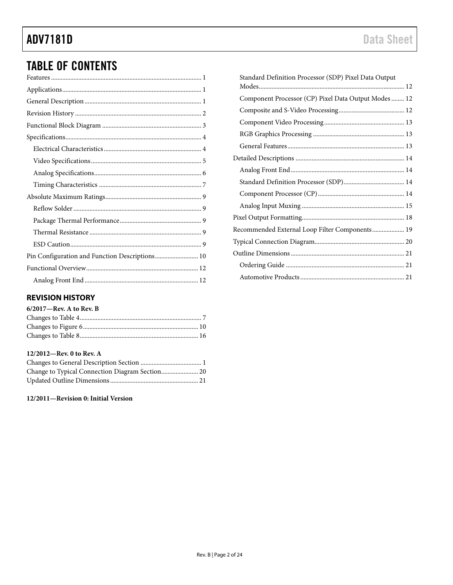# **ADV7181D**

## **TABLE OF CONTENTS**

| Pin Configuration and Function Descriptions 10 |
|------------------------------------------------|
|                                                |
|                                                |

#### <span id="page-1-0"></span>**REVISION HISTORY**

#### 6/2017-Rev. A to Rev. B

#### 12/2012-Rev. 0 to Rev. A

12/2011-Revision 0: Initial Version

| Standard Definition Processor (SDP) Pixel Data Output |  |
|-------------------------------------------------------|--|
|                                                       |  |
| Component Processor (CP) Pixel Data Output Modes  12  |  |
|                                                       |  |
|                                                       |  |
|                                                       |  |
|                                                       |  |
|                                                       |  |
|                                                       |  |
|                                                       |  |
|                                                       |  |
|                                                       |  |
|                                                       |  |
| Recommended External Loop Filter Components 19        |  |
|                                                       |  |
|                                                       |  |
|                                                       |  |
|                                                       |  |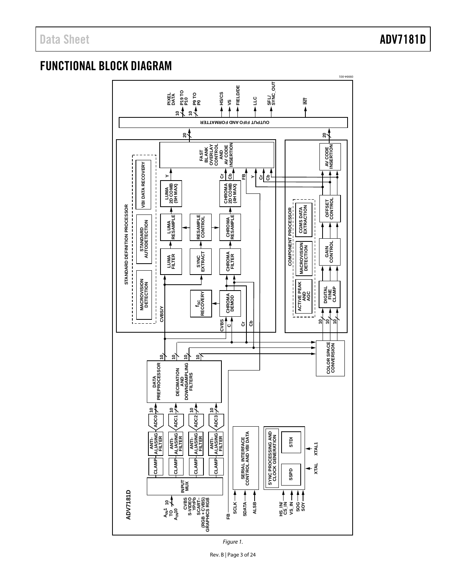### <span id="page-2-0"></span>FUNCTIONAL BLOCK DIAGRAM



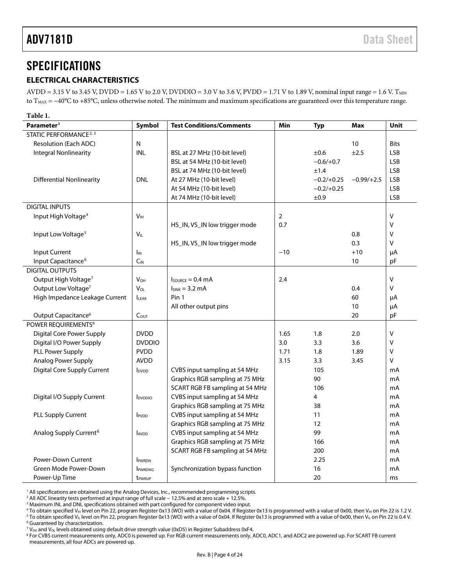### <span id="page-3-0"></span>**SPECIFICATIONS**

#### <span id="page-3-1"></span>**ELECTRICAL CHARACTERISTICS**

AVDD = 3.15 V to 3.45 V, DVDD = 1.65 V to 2.0 V, DVDDIO = 3.0 V to 3.6 V, PVDD = 1.71 V to 1.89 V, nominal input range = 1.6 V. T<sub>MIN</sub> to T<sub>MAX</sub> = −40°C to +85°C, unless otherwise noted. The minimum and maximum specifications are guaranteed over this temperature range.

| Table 1.                           |                          |                                      |                |              |              |             |
|------------------------------------|--------------------------|--------------------------------------|----------------|--------------|--------------|-------------|
| Parameter <sup>1</sup>             | Symbol                   | <b>Test Conditions/Comments</b>      | Min            | <b>Typ</b>   | Max          | Unit        |
| STATIC PERFORMANCE <sup>2, 3</sup> |                          |                                      |                |              |              |             |
| <b>Resolution (Each ADC)</b>       | N                        |                                      |                |              | 10           | <b>Bits</b> |
| <b>Integral Nonlinearity</b>       | <b>INL</b>               | BSL at 27 MHz (10-bit level)         |                | ±0.6         | ±2.5         | <b>LSB</b>  |
|                                    |                          | BSL at 54 MHz (10-bit level)         |                | $-0.6/+0.7$  |              | <b>LSB</b>  |
|                                    |                          | BSL at 74 MHz (10-bit level)         |                | ±1.4         |              | <b>LSB</b>  |
| <b>Differential Nonlinearity</b>   | <b>DNL</b>               | At 27 MHz (10-bit level)             |                | $-0.2/+0.25$ | $-0.99/+2.5$ | <b>LSB</b>  |
|                                    |                          | At 54 MHz (10-bit level)             |                | $-0.2/+0.25$ |              | <b>LSB</b>  |
|                                    |                          | At 74 MHz (10-bit level)             |                | ±0.9         |              | <b>LSB</b>  |
| <b>DIGITAL INPUTS</b>              |                          |                                      |                |              |              |             |
| Input High Voltage <sup>4</sup>    | V <sub>IH</sub>          |                                      | $\overline{2}$ |              |              | V           |
|                                    |                          | HS_IN, VS_IN low trigger mode        | 0.7            |              |              | V           |
| Input Low Voltage <sup>5</sup>     | $V_{IL}$                 |                                      |                |              | 0.8          | V           |
|                                    |                          | HS_IN, VS_IN low trigger mode        |                |              | 0.3          | v           |
| <b>Input Current</b>               | $I_{IN}$                 |                                      | $-10$          |              | $+10$        | μA          |
| Input Capacitance <sup>6</sup>     | $C_{IN}$                 |                                      |                |              | 10           | pF          |
| <b>DIGITAL OUTPUTS</b>             |                          |                                      |                |              |              |             |
| Output High Voltage <sup>7</sup>   | $V_{OH}$                 | $I_{\text{SOWRCE}} = 0.4 \text{ mA}$ | 2.4            |              |              | v           |
| Output Low Voltage <sup>7</sup>    | $V_{OL}$                 | $I_{SINK} = 3.2 \text{ mA}$          |                |              | 0.4          | v           |
| High Impedance Leakage Current     | <b>ILEAK</b>             | Pin 1                                |                |              | 60           | μA          |
|                                    |                          | All other output pins                |                |              | 10           | μA          |
| Output Capacitance <sup>6</sup>    | C <sub>OUT</sub>         |                                      |                |              | 20           | pF          |
| POWER REQUIREMENTS <sup>6</sup>    |                          |                                      |                |              |              |             |
| <b>Digital Core Power Supply</b>   | <b>DVDD</b>              |                                      | 1.65           | 1.8          | 2.0          | v           |
| Digital I/O Power Supply           | <b>DVDDIO</b>            |                                      | 3.0            | 3.3          | 3.6          | V           |
| PLL Power Supply                   | <b>PVDD</b>              |                                      | 1.71           | 1.8          | 1.89         | v           |
| Analog Power Supply                | <b>AVDD</b>              |                                      | 3.15           | 3.3          | 3.45         | v           |
| <b>Digital Core Supply Current</b> | <b>I</b> <sub>DVDD</sub> | CVBS input sampling at 54 MHz        |                | 105          |              | mA          |
|                                    |                          | Graphics RGB sampling at 75 MHz      |                | 90           |              | mA          |
|                                    |                          | SCART RGB FB sampling at 54 MHz      |                | 106          |              | mA          |
| Digital I/O Supply Current         | lpvppio                  | CVBS input sampling at 54 MHz        |                | 4            |              | mA          |
|                                    |                          | Graphics RGB sampling at 75 MHz      |                | 38           |              | mA          |
| PLL Supply Current                 | IPVDD                    | CVBS input sampling at 54 MHz        |                | 11           |              | mA          |
|                                    |                          | Graphics RGB sampling at 75 MHz      |                | 12           |              | mA          |
| Analog Supply Current <sup>8</sup> | AVDD                     | CVBS input sampling at 54 MHz        |                | 99           |              | mA          |
|                                    |                          | Graphics RGB sampling at 75 MHz      |                | 166          |              | mA          |
|                                    |                          | SCART RGB FB sampling at 54 MHz      |                | 200          |              | mA          |
| Power-Down Current                 | <b>IPWRDN</b>            |                                      |                | 2.25         |              | mA          |
| Green Mode Power-Down              | <b>IPWRDNG</b>           | Synchronization bypass function      |                | 16           |              | mA          |
| Power-Up Time                      | tpwrup                   |                                      |                | 20           |              | ms          |

<sup>1</sup> All specifications are obtained using the Analog Devices, Inc., recommended programming scripts.

<sup>2</sup> All ADC linearity tests performed at input range of full scale − 12.5% and at zero scale + 12.5%.

<sup>3</sup> Maximum INL and DNL specifications obtained with part configured for component video input.

<sup>4</sup> To obtain specified V<sub>IH</sub> level on Pin 22, program Register 0x13 (WO) with a value of 0x04. If Register 0x13 is programmed with a value of 0x00, then V<sub>IH</sub> on Pin 22 is 1.2 V. <sup>5</sup> To obtain specified V<sub>IL</sub> level on Pin 22, program Register 0x13 (WO) with a value of 0x04. If Register 0x13 is programmed with a value of 0x00, then V<sub>IL</sub> on Pin 22 is 0.4 V. <sup>6</sup> Guaranteed by characterization.

 $^7$  V<sub>OH</sub> and V<sub>OL</sub> levels obtained using default drive strength value (0xD5) in Register Subaddress 0xF4.

<sup>8</sup> For CVBS current measurements only, ADC0 is powered up. For RGB current measurements only, ADC0, ADC1, and ADC2 are powered up. For SCART FB current measurements, all four ADCs are powered up.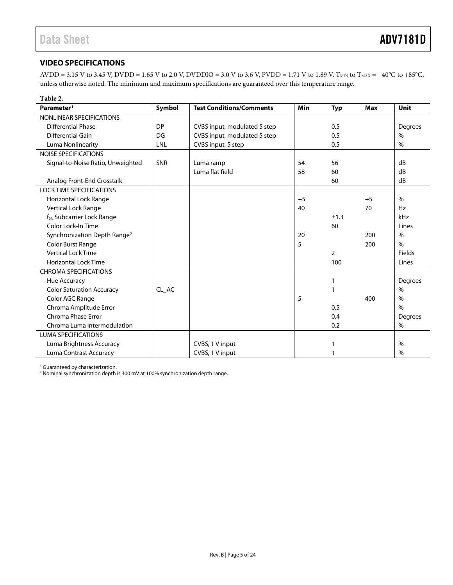#### <span id="page-4-0"></span>**VIDEO SPECIFICATIONS**

AVDD = 3.15 V to 3.45 V, DVDD = 1.65 V to 2.0 V, DVDDIO = 3.0 V to 3.6 V, PVDD = 1.71 V to 1.89 V. T<sub>MIN</sub> to T<sub>MAX</sub> = -40°C to +85°C, unless otherwise noted. The minimum and maximum specifications are guaranteed over this temperature range.

| Table 2.                                 |           |                                 |      |                |            |                |
|------------------------------------------|-----------|---------------------------------|------|----------------|------------|----------------|
| Parameter <sup>1</sup>                   | Symbol    | <b>Test Conditions/Comments</b> | Min  | <b>Typ</b>     | <b>Max</b> | <b>Unit</b>    |
| NONLINEAR SPECIFICATIONS                 |           |                                 |      |                |            |                |
| <b>Differential Phase</b>                | <b>DP</b> | CVBS input, modulated 5 step    |      | 0.5            |            | Degrees        |
| Differential Gain                        | DG        | CVBS input, modulated 5 step    |      | 0.5            |            | $\%$           |
| Luma Nonlinearity                        | LNL       | CVBS input, 5 step              |      | 0.5            |            | $\%$           |
| <b>NOISE SPECIFICATIONS</b>              |           |                                 |      |                |            |                |
| Signal-to-Noise Ratio, Unweighted        | SNR       | Luma ramp                       | 54   | 56             |            | dB             |
|                                          |           | Luma flat field                 | 58   | 60             |            | dB             |
| Analog Front-End Crosstalk               |           |                                 |      | 60             |            | dB             |
| <b>LOCK TIME SPECIFICATIONS</b>          |           |                                 |      |                |            |                |
| Horizontal Lock Range                    |           |                                 | $-5$ |                | $+5$       | $\%$           |
| Vertical Lock Range                      |           |                                 | 40   |                | 70         | Hz             |
| f <sub>sc</sub> Subcarrier Lock Range    |           |                                 |      | ±1.3           |            | kHz            |
| Color Lock-In Time                       |           |                                 |      | 60             |            | Lines          |
| Synchronization Depth Range <sup>2</sup> |           |                                 | 20   |                | 200        | $\%$           |
| Color Burst Range                        |           |                                 | 5    |                | 200        | $\frac{0}{0}$  |
| <b>Vertical Lock Time</b>                |           |                                 |      | $\overline{2}$ |            | Fields         |
| <b>Horizontal Lock Time</b>              |           |                                 |      | 100            |            | Lines          |
| <b>CHROMA SPECIFICATIONS</b>             |           |                                 |      |                |            |                |
| Hue Accuracy                             |           |                                 |      | 1              |            | Degrees        |
| <b>Color Saturation Accuracy</b>         | CL AC     |                                 |      | 1              |            | $\%$           |
| Color AGC Range                          |           |                                 | 5    |                | 400        | $\%$           |
| Chroma Amplitude Error                   |           |                                 |      | 0.5            |            | $\%$           |
| Chroma Phase Error                       |           |                                 |      | 0.4            |            | <b>Degrees</b> |
| Chroma Luma Intermodulation              |           |                                 |      | 0.2            |            | %              |
| <b>LUMA SPECIFICATIONS</b>               |           |                                 |      |                |            |                |
| Luma Brightness Accuracy                 |           | CVBS, 1 V input                 |      | 1              |            | $\%$           |
| Luma Contrast Accuracy                   |           | CVBS, 1 V input                 |      |                |            | $\%$           |

<sup>1</sup> Guaranteed by characterization.

<sup>2</sup> Nominal synchronization depth is 300 mV at 100% synchronization depth range.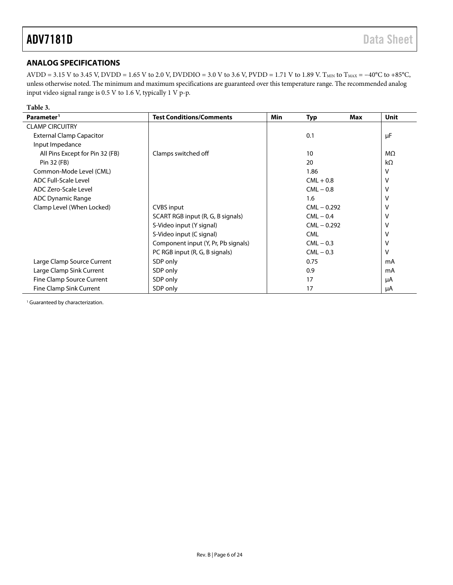### <span id="page-5-0"></span>**ANALOG SPECIFICATIONS**

AVDD = 3.15 V to 3.45 V, DVDD = 1.65 V to 2.0 V, DVDDIO = 3.0 V to 3.6 V, PVDD = 1.71 V to 1.89 V. T<sub>MIN</sub> to T<sub>MAX</sub> = -40°C to +85°C, unless otherwise noted. The minimum and maximum specifications are guaranteed over this temperature range. The recommended analog input video signal range is 0.5 V to 1.6 V, typically 1 V p-p.

| Table 3.                        |                                     |            |               |     |             |
|---------------------------------|-------------------------------------|------------|---------------|-----|-------------|
| Parameter <sup>1</sup>          | <b>Test Conditions/Comments</b>     | <b>Min</b> | <b>Typ</b>    | Max | <b>Unit</b> |
| <b>CLAMP CIRCUITRY</b>          |                                     |            |               |     |             |
| <b>External Clamp Capacitor</b> |                                     |            | 0.1           |     | μF          |
| Input Impedance                 |                                     |            |               |     |             |
| All Pins Except for Pin 32 (FB) | Clamps switched off                 |            | 10            |     | MΩ          |
| Pin 32 (FB)                     |                                     |            | 20            |     | $k\Omega$   |
| Common-Mode Level (CML)         |                                     |            | 1.86          |     | ٧           |
| <b>ADC Full-Scale Level</b>     |                                     |            | $CML + 0.8$   |     | v           |
| ADC Zero-Scale Level            |                                     |            | $CML - 0.8$   |     | ٧           |
| <b>ADC Dynamic Range</b>        |                                     |            | 1.6           |     | v           |
| Clamp Level (When Locked)       | CVBS input                          |            | $CML - 0.292$ |     | ٧           |
|                                 | SCART RGB input (R, G, B signals)   |            | $CML - 0.4$   |     | v           |
|                                 | S-Video input (Y signal)            |            | $CML - 0.292$ |     | v           |
|                                 | S-Video input (C signal)            |            | <b>CML</b>    |     | v           |
|                                 | Component input (Y, Pr, Pb signals) |            | $CML - 0.3$   |     | v           |
|                                 | PC RGB input (R, G, B signals)      |            | $CML - 0.3$   |     | v           |
| Large Clamp Source Current      | SDP only                            |            | 0.75          |     | mA          |
| Large Clamp Sink Current        | SDP only                            |            | 0.9           |     | mA          |
| Fine Clamp Source Current       | SDP only                            |            | 17            |     | μA          |
| Fine Clamp Sink Current         | SDP only                            |            | 17            |     | μA          |

<sup>1</sup> Guaranteed by characterization.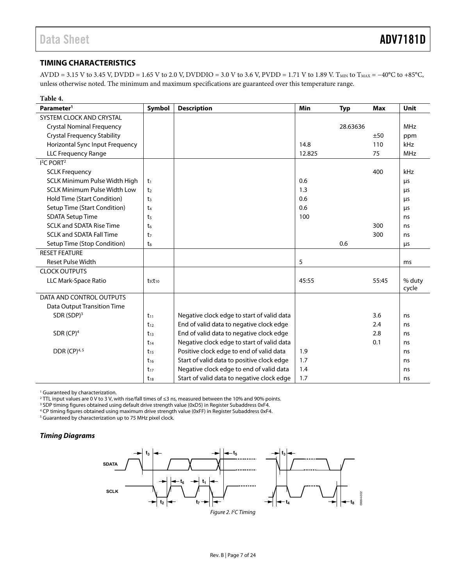#### <span id="page-6-0"></span>**TIMING CHARACTERISTICS**

AVDD = 3.15 V to 3.45 V, DVDD = 1.65 V to 2.0 V, DVDDIO = 3.0 V to 3.6 V, PVDD = 1.71 V to 1.89 V. T<sub>MIN</sub> to T<sub>MAX</sub> = -40°C to +85°C, unless otherwise noted. The minimum and maximum specifications are guaranteed over this temperature range.

| Table 4.                            |                |                                            |        |            |            |            |
|-------------------------------------|----------------|--------------------------------------------|--------|------------|------------|------------|
| Parameter <sup>1</sup>              | Symbol         | <b>Description</b>                         | Min    | <b>Typ</b> | <b>Max</b> | Unit       |
| SYSTEM CLOCK AND CRYSTAL            |                |                                            |        |            |            |            |
| <b>Crystal Nominal Frequency</b>    |                |                                            |        | 28.63636   |            | <b>MHz</b> |
| <b>Crystal Frequency Stability</b>  |                |                                            |        |            | ±50        | ppm        |
| Horizontal Sync Input Frequency     |                |                                            | 14.8   |            | 110        | kHz        |
| <b>LLC Frequency Range</b>          |                |                                            | 12.825 |            | 75         | MHz        |
| I <sup>2</sup> C PORT <sup>2</sup>  |                |                                            |        |            |            |            |
| <b>SCLK Frequency</b>               |                |                                            |        |            | 400        | kHz        |
| SCLK Minimum Pulse Width High       | t <sub>1</sub> |                                            | 0.6    |            |            | μs         |
| <b>SCLK Minimum Pulse Width Low</b> | t <sub>2</sub> |                                            | 1.3    |            |            | μs         |
| Hold Time (Start Condition)         | t <sub>3</sub> |                                            | 0.6    |            |            | μs         |
| Setup Time (Start Condition)        | $t_4$          |                                            | 0.6    |            |            | μs         |
| <b>SDATA Setup Time</b>             | t <sub>5</sub> |                                            | 100    |            |            | ns         |
| <b>SCLK and SDATA Rise Time</b>     | t <sub>6</sub> |                                            |        |            | 300        | ns         |
| <b>SCLK and SDATA Fall Time</b>     | t <sub>7</sub> |                                            |        |            | 300        | ns         |
| Setup Time (Stop Condition)         | tg             |                                            |        | 0.6        |            | μs         |
| <b>RESET FEATURE</b>                |                |                                            |        |            |            |            |
| <b>Reset Pulse Width</b>            |                |                                            | 5      |            |            | ms         |
| <b>CLOCK OUTPUTS</b>                |                |                                            |        |            |            |            |
| LLC Mark-Space Ratio                | $t_9:t_{10}$   |                                            | 45:55  |            | 55:45      | % duty     |
|                                     |                |                                            |        |            |            | cycle      |
| DATA AND CONTROL OUTPUTS            |                |                                            |        |            |            |            |
| Data Output Transition Time         |                |                                            |        |            |            |            |
| SDR (SDP) <sup>3</sup>              | $t_{11}$       | Negative clock edge to start of valid data |        |            | 3.6        | ns         |
|                                     | $t_{12}$       | End of valid data to negative clock edge   |        |            | 2.4        | ns         |
| SDR $(CP)^4$                        | $t_{13}$       | End of valid data to negative clock edge   |        |            | 2.8        | ns         |
|                                     | $t_{14}$       | Negative clock edge to start of valid data |        |            | 0.1        | ns         |
| DDR (CP) <sup>4, 5</sup>            | $t_{15}$       | Positive clock edge to end of valid data   | 1.9    |            |            | ns         |
|                                     | $t_{16}$       | Start of valid data to positive clock edge | 1.7    |            |            | ns         |
|                                     | $t_{17}$       | Negative clock edge to end of valid data   | 1.4    |            |            | ns         |
|                                     | $t_{18}$       | Start of valid data to negative clock edge | 1.7    |            |            | ns         |

<sup>1</sup> Guaranteed by characterization.

<sup>2</sup> TTL input values are 0 V to 3 V, with rise/fall times of ≤3 ns, measured between the 10% and 90% points.<br><sup>3</sup> SDP timing figures obtained using default drive strength value (0×D5) in Begister Subaddress 0×E4

<sup>3</sup> SDP timing figures obtained using default drive strength value (0xD5) in Register Subaddress 0xF4.

CP timing figures obtained using maximum drive strength value (0xFF) in Register Subaddress 0xF4. 5

<sup>5</sup> Guaranteed by characterization up to 75 MHz pixel clock.

#### **Timing Diagrams**

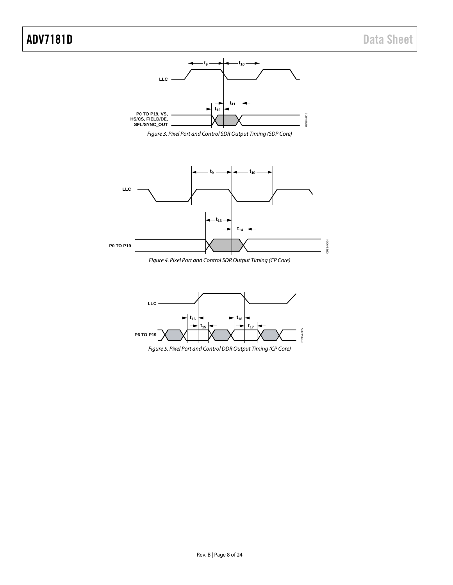### ADV7181D Data Sheet











*Figure 5. Pixel Port and Control DDR Output Timing (CP Core)*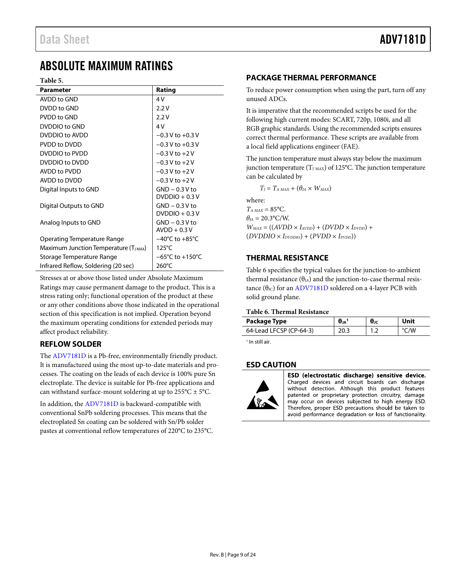### <span id="page-8-0"></span>ABSOLUTE MAXIMUM RATINGS

**Table 5.** 

| <b>Parameter</b>                          | Rating                              |
|-------------------------------------------|-------------------------------------|
| AVDD to GND                               | 4V                                  |
| DVDD to GND                               | 2.2V                                |
| PVDD to GND                               | 2.2V                                |
| DVDDIO to GND                             | 4V                                  |
| DVDDIO to AVDD                            | $-0.3$ V to $+0.3$ V                |
| PVDD to DVDD                              | $-0.3$ V to $+0.3$ V                |
| DVDDIO to PVDD                            | $-0.3 V$ to $+2V$                   |
| DVDDIO to DVDD                            | $-0.3$ V to $+2$ V                  |
| AVDD to PVDD                              | $-0.3$ V to $+2$ V                  |
| AVDD to DVDD                              | $-0.3$ V to $+2$ V                  |
| Digital Inputs to GND                     | $GND - 0.3 V$ to                    |
|                                           | $DVDDIO + 0.3 V$                    |
| Digital Outputs to GND                    | $GND - 0.3 V$ to                    |
|                                           | $DVDDIO + 0.3 V$                    |
| Analog Inputs to GND                      | $GND - 0.3 V$ to                    |
|                                           | $AVDD + 0.3 V$                      |
| Operating Temperature Range               | $-40^{\circ}$ C to $+85^{\circ}$ C  |
| Maximum Junction Temperature $(T_{JMAX})$ | $125^{\circ}$ C                     |
| Storage Temperature Range                 | $-65^{\circ}$ C to $+150^{\circ}$ C |
| Infrared Reflow, Soldering (20 sec)       | $260^{\circ}$ C                     |

Stresses at or above those listed under Absolute Maximum Ratings may cause permanent damage to the product. This is a stress rating only; functional operation of the product at these or any other conditions above those indicated in the operational section of this specification is not implied. Operation beyond the maximum operating conditions for extended periods may affect product reliability.

#### <span id="page-8-1"></span>**REFLOW SOLDER**

The [ADV7181D](http://www.analog.com/ADV7181D) is a Pb-free, environmentally friendly product. It is manufactured using the most up-to-date materials and processes. The coating on the leads of each device is 100% pure Sn electroplate. The device is suitable for Pb-free applications and can withstand surface-mount soldering at up to  $255^{\circ}$ C  $\pm$  5°C.

In addition, the [ADV7181D](http://www.analog.com/ADV7181D) is backward-compatible with conventional SnPb soldering processes. This means that the electroplated Sn coating can be soldered with Sn/Pb solder pastes at conventional reflow temperatures of 220°C to 235°C.

#### <span id="page-8-2"></span>**PACKAGE THERMAL PERFORMANCE**

To reduce power consumption when using the part, turn off any unused ADCs.

It is imperative that the recommended scripts be used for the following high current modes: SCART, 720p, 1080i, and all RGB graphic standards. Using the recommended scripts ensures correct thermal performance. These scripts are available from a local field applications engineer (FAE).

The junction temperature must always stay below the maximum junction temperature  $(T_{J MAX})$  of 125°C. The junction temperature can be calculated by

 $T_J = T_{A MAX} + (\theta_{JA} \times W_{MAX})$ where:  $T_{A MAX} = 85^{\circ}C$ .  $\theta_{JA} = 20.3$ °C/W.

 $W_{MAX} = ((AVDD \times I_{AVDD}) + (DVDD \times I_{DVDD}) + (IVDD \times I_{AVDD})$  $(DVDDIO \times I<sub>DVDDIO</sub>) + (PVDD \times I<sub>PVDD</sub>)$ 

#### <span id="page-8-3"></span>**THERMAL RESISTANCE**

[Table 6](#page-8-5) specifies the typical values for the junction-to-ambient thermal resistance  $(\theta_{JA})$  and the junction-to-case thermal resistance  $(\theta_{\text{JC}})$  for an [ADV7181D](http://www.analog.com/ADV7181D) soldered on a 4-layer PCB with solid ground plane.

#### <span id="page-8-5"></span>**Table 6. Thermal Resistance**

| Package Type            | $\bm{\theta}$ JC |  |
|-------------------------|------------------|--|
| 64-Lead LFCSP (CP-64-3) | ے ،              |  |

<sup>1</sup> In still air.

#### <span id="page-8-4"></span>**ESD CAUTION**



ESD (electrostatic discharge) sensitive device. Charged devices and circuit boards can discharge without detection. Although this product features patented or proprietary protection circuitry, damage may occur on devices subjected to high energy ESD. Therefore, proper ESD precautions should be taken to avoid performance degradation or loss of functionality.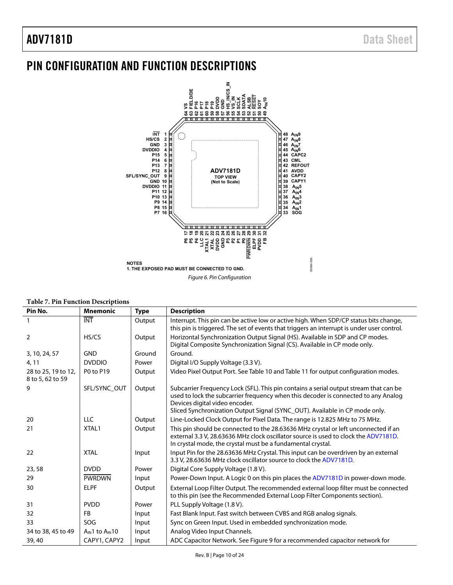### <span id="page-9-0"></span>PIN CONFIGURATION AND FUNCTION DESCRIPTIONS



#### **Table 7. Pin Function Descriptions**

| Pin No.                                 | <b>Mnemonic</b>         | <b>Type</b> | <b>Description</b>                                                                                                                                                                                                                       |
|-----------------------------------------|-------------------------|-------------|------------------------------------------------------------------------------------------------------------------------------------------------------------------------------------------------------------------------------------------|
|                                         | <b>INT</b>              | Output      | Interrupt. This pin can be active low or active high. When SDP/CP status bits change,<br>this pin is triggered. The set of events that triggers an interrupt is under user control.                                                      |
| $\overline{2}$                          | HS/CS                   | Output      | Horizontal Synchronization Output Signal (HS). Available in SDP and CP modes.<br>Digital Composite Synchronization Signal (CS). Available in CP mode only.                                                                               |
| 3, 10, 24, 57                           | <b>GND</b>              | Ground      | Ground.                                                                                                                                                                                                                                  |
| 4, 11                                   | <b>DVDDIO</b>           | Power       | Digital I/O Supply Voltage (3.3 V).                                                                                                                                                                                                      |
| 28 to 25, 19 to 12,<br>8 to 5, 62 to 59 | P0 to P19               | Output      | Video Pixel Output Port. See Table 10 and Table 11 for output configuration modes.                                                                                                                                                       |
| 9                                       | SFL/SYNC_OUT            | Output      | Subcarrier Frequency Lock (SFL). This pin contains a serial output stream that can be<br>used to lock the subcarrier frequency when this decoder is connected to any Analog<br>Devices digital video encoder.                            |
|                                         |                         |             | Sliced Synchronization Output Signal (SYNC_OUT). Available in CP mode only.                                                                                                                                                              |
| 20                                      | <b>LLC</b>              | Output      | Line-Locked Clock Output for Pixel Data. The range is 12.825 MHz to 75 MHz.                                                                                                                                                              |
| 21                                      | XTAL1                   | Output      | This pin should be connected to the 28.63636 MHz crystal or left unconnected if an<br>external 3.3 V, 28.63636 MHz clock oscillator source is used to clock the ADV7181D.<br>In crystal mode, the crystal must be a fundamental crystal. |
| 22                                      | <b>XTAL</b>             | Input       | Input Pin for the 28.63636 MHz Crystal. This input can be overdriven by an external<br>3.3 V, 28.63636 MHz clock oscillator source to clock the ADV7181D.                                                                                |
| 23,58                                   | <b>DVDD</b>             | Power       | Digital Core Supply Voltage (1.8 V).                                                                                                                                                                                                     |
| 29                                      | <b>PWRDWN</b>           | Input       | Power-Down Input. A Logic 0 on this pin places the ADV7181D in power-down mode.                                                                                                                                                          |
| 30                                      | <b>ELPF</b>             | Output      | External Loop Filter Output. The recommended external loop filter must be connected<br>to this pin (see the Recommended External Loop Filter Components section).                                                                        |
| 31                                      | <b>PVDD</b>             | Power       | PLL Supply Voltage (1.8 V).                                                                                                                                                                                                              |
| 32                                      | <b>FB</b>               | Input       | Fast Blank Input. Fast switch between CVBS and RGB analog signals.                                                                                                                                                                       |
| 33                                      | SOG                     | Input       | Sync on Green Input. Used in embedded synchronization mode.                                                                                                                                                                              |
| 34 to 38, 45 to 49                      | $A_{IN}1$ to $A_{IN}10$ | Input       | Analog Video Input Channels.                                                                                                                                                                                                             |
| 39, 40                                  | CAPY1, CAPY2            | Input       | ADC Capacitor Network. See Figure 9 for a recommended capacitor network for                                                                                                                                                              |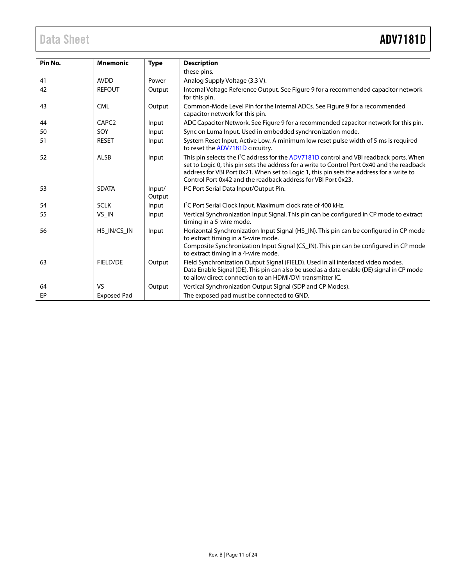| Pin No. | <b>Mnemonic</b>    | <b>Type</b>      | <b>Description</b>                                                                                                                                                                                                                                                                                                                                              |
|---------|--------------------|------------------|-----------------------------------------------------------------------------------------------------------------------------------------------------------------------------------------------------------------------------------------------------------------------------------------------------------------------------------------------------------------|
|         |                    |                  | these pins.                                                                                                                                                                                                                                                                                                                                                     |
| 41      | <b>AVDD</b>        | Power            | Analog Supply Voltage (3.3 V).                                                                                                                                                                                                                                                                                                                                  |
| 42      | <b>REFOUT</b>      | Output           | Internal Voltage Reference Output. See Figure 9 for a recommended capacitor network<br>for this pin.                                                                                                                                                                                                                                                            |
| 43      | <b>CML</b>         | Output           | Common-Mode Level Pin for the Internal ADCs. See Figure 9 for a recommended<br>capacitor network for this pin.                                                                                                                                                                                                                                                  |
| 44      | CAPC <sub>2</sub>  | Input            | ADC Capacitor Network. See Figure 9 for a recommended capacitor network for this pin.                                                                                                                                                                                                                                                                           |
| 50      | SOY                | Input            | Sync on Luma Input. Used in embedded synchronization mode.                                                                                                                                                                                                                                                                                                      |
| 51      | <b>RESET</b>       | Input            | System Reset Input, Active Low. A minimum low reset pulse width of 5 ms is required<br>to reset the ADV7181D circuitry.                                                                                                                                                                                                                                         |
| 52      | ALSB               | Input            | This pin selects the I <sup>2</sup> C address for the ADV7181D control and VBI readback ports. When<br>set to Logic 0, this pin sets the address for a write to Control Port 0x40 and the readback<br>address for VBI Port 0x21. When set to Logic 1, this pin sets the address for a write to<br>Control Port 0x42 and the readback address for VBI Port 0x23. |
| 53      | <b>SDATA</b>       | Input/<br>Output | I <sup>2</sup> C Port Serial Data Input/Output Pin.                                                                                                                                                                                                                                                                                                             |
| 54      | <b>SCLK</b>        | Input            | I <sup>2</sup> C Port Serial Clock Input. Maximum clock rate of 400 kHz.                                                                                                                                                                                                                                                                                        |
| 55      | VS_IN              | Input            | Vertical Synchronization Input Signal. This pin can be configured in CP mode to extract<br>timing in a 5-wire mode.                                                                                                                                                                                                                                             |
| 56      | HS IN/CS IN        | Input            | Horizontal Synchronization Input Signal (HS_IN). This pin can be configured in CP mode<br>to extract timing in a 5-wire mode.                                                                                                                                                                                                                                   |
|         |                    |                  | Composite Synchronization Input Signal (CS_IN). This pin can be configured in CP mode<br>to extract timing in a 4-wire mode.                                                                                                                                                                                                                                    |
| 63      | <b>FIELD/DE</b>    | Output           | Field Synchronization Output Signal (FIELD). Used in all interlaced video modes.<br>Data Enable Signal (DE). This pin can also be used as a data enable (DE) signal in CP mode<br>to allow direct connection to an HDMI/DVI transmitter IC.                                                                                                                     |
| 64      | V <sub>S</sub>     | Output           | Vertical Synchronization Output Signal (SDP and CP Modes).                                                                                                                                                                                                                                                                                                      |
| EP      | <b>Exposed Pad</b> |                  | The exposed pad must be connected to GND.                                                                                                                                                                                                                                                                                                                       |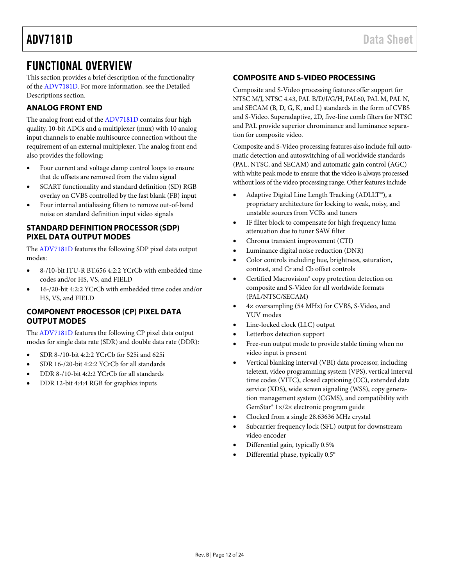### <span id="page-11-0"></span>FUNCTIONAL OVERVIEW

This section provides a brief description of the functionality of the [ADV7181D.](http://www.analog.com/ADV7181D) For more information, see th[e Detailed](#page-13-0)  [Descriptions](#page-13-0) section.

#### <span id="page-11-1"></span>**ANALOG FRONT END**

The analog front end of th[e ADV7181D](http://www.analog.com/ADV7181D) contains four high quality, 10-bit ADCs and a multiplexer (mux) with 10 analog input channels to enable multisource connection without the requirement of an external multiplexer. The analog front end also provides the following:

- Four current and voltage clamp control loops to ensure that dc offsets are removed from the video signal
- SCART functionality and standard definition (SD) RGB overlay on CVBS controlled by the fast blank (FB) input
- Four internal antialiasing filters to remove out-of-band noise on standard definition input video signals

#### <span id="page-11-2"></span>**STANDARD DEFINITION PROCESSOR (SDP) PIXEL DATA OUTPUT MODES**

The [ADV7181D](http://www.analog.com/ADV7181D) features the following SDP pixel data output modes:

- 8-/10-bit ITU-R BT.656 4:2:2 YCrCb with embedded time codes and/or HS, VS, and FIELD
- 16-/20-bit 4:2:2 YCrCb with embedded time codes and/or HS, VS, and FIELD

#### <span id="page-11-3"></span>**COMPONENT PROCESSOR (CP) PIXEL DATA OUTPUT MODES**

The [ADV7181D](http://www.analog.com/ADV7181D) features the following CP pixel data output modes for single data rate (SDR) and double data rate (DDR):

- SDR 8-/10-bit 4:2:2 YCrCb for 525i and 625i
- SDR 16-/20-bit 4:2:2 YCrCb for all standards
- DDR 8-/10-bit 4:2:2 YCrCb for all standards
- DDR 12-bit 4:4:4 RGB for graphics inputs

#### <span id="page-11-4"></span>**COMPOSITE AND S-VIDEO PROCESSING**

Composite and S-Video processing features offer support for NTSC M/J, NTSC 4.43, PAL B/D/I/G/H, PAL60, PAL M, PAL N, and SECAM (B, D, G, K, and L) standards in the form of CVBS and S-Video. Superadaptive, 2D, five-line comb filters for NTSC and PAL provide superior chrominance and luminance separation for composite video.

Composite and S-Video processing features also include full automatic detection and autoswitching of all worldwide standards (PAL, NTSC, and SECAM) and automatic gain control (AGC) with white peak mode to ensure that the video is always processed without loss of the video processing range. Other features include

- Adaptive Digital Line Length Tracking (ADLLT™), a proprietary architecture for locking to weak, noisy, and unstable sources from VCRs and tuners
- IF filter block to compensate for high frequency luma attenuation due to tuner SAW filter
- Chroma transient improvement (CTI)
- Luminance digital noise reduction (DNR)
- Color controls including hue, brightness, saturation, contrast, and Cr and Cb offset controls
- Certified Macrovision® copy protection detection on composite and S-Video for all worldwide formats (PAL/NTSC/SECAM)
- 4× oversampling (54 MHz) for CVBS, S-Video, and YUV modes
- Line-locked clock (LLC) output
- Letterbox detection support
- Free-run output mode to provide stable timing when no video input is present
- Vertical blanking interval (VBI) data processor, including teletext, video programming system (VPS), vertical interval time codes (VITC), closed captioning (CC), extended data service (XDS), wide screen signaling (WSS), copy generation management system (CGMS), and compatibility with GemStar® 1×/2× electronic program guide
- Clocked from a single 28.63636 MHz crystal
- Subcarrier frequency lock (SFL) output for downstream video encoder
- Differential gain, typically 0.5%
- Differential phase, typically 0.5°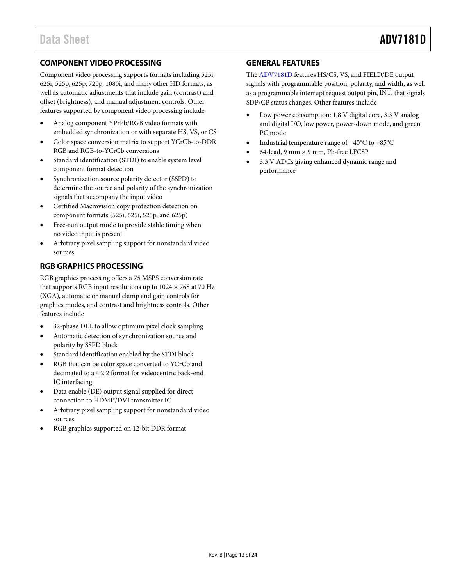#### <span id="page-12-0"></span>**COMPONENT VIDEO PROCESSING**

Component video processing supports formats including 525i, 625i, 525p, 625p, 720p, 1080i, and many other HD formats, as well as automatic adjustments that include gain (contrast) and offset (brightness), and manual adjustment controls. Other features supported by component video processing include

- Analog component YPrPb/RGB video formats with embedded synchronization or with separate HS, VS, or CS
- Color space conversion matrix to support YCrCb-to-DDR RGB and RGB-to-YCrCb conversions
- Standard identification (STDI) to enable system level component format detection
- Synchronization source polarity detector (SSPD) to determine the source and polarity of the synchronization signals that accompany the input video
- Certified Macrovision copy protection detection on component formats (525i, 625i, 525p, and 625p)
- Free-run output mode to provide stable timing when no video input is present
- Arbitrary pixel sampling support for nonstandard video sources

### <span id="page-12-1"></span>**RGB GRAPHICS PROCESSING**

RGB graphics processing offers a 75 MSPS conversion rate that supports RGB input resolutions up to  $1024 \times 768$  at 70 Hz (XGA), automatic or manual clamp and gain controls for graphics modes, and contrast and brightness controls. Other features include

- 32-phase DLL to allow optimum pixel clock sampling
- Automatic detection of synchronization source and polarity by SSPD block
- Standard identification enabled by the STDI block
- RGB that can be color space converted to YCrCb and decimated to a 4:2:2 format for videocentric back-end IC interfacing
- Data enable (DE) output signal supplied for direct connection to HDMI®/DVI transmitter IC
- Arbitrary pixel sampling support for nonstandard video sources
- RGB graphics supported on 12-bit DDR format

#### <span id="page-12-2"></span>**GENERAL FEATURES**

The [ADV7181D](http://www.analog.com/ADV7181D) features HS/CS, VS, and FIELD/DE output signals with programmable position, polarity, and width, as well as a programmable interrupt request output pin,  $\overline{INT}$ , that signals SDP/CP status changes. Other features include

- Low power consumption: 1.8 V digital core, 3.3 V analog and digital I/O, low power, power-down mode, and green PC mode
- Industrial temperature range of −40°C to +85°C
- 64-lead, 9 mm  $\times$  9 mm, Pb-free LFCSP
- 3.3 V ADCs giving enhanced dynamic range and performance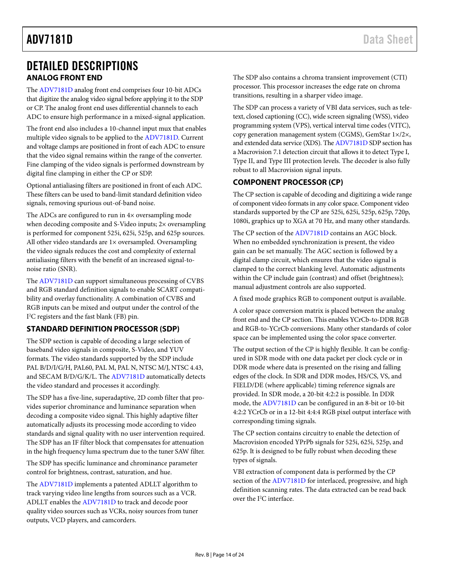### <span id="page-13-0"></span>DETAILED DESCRIPTIONS **ANALOG FRONT END**

<span id="page-13-1"></span>The [ADV7181D](http://www.analog.com/ADV7181D) analog front end comprises four 10-bit ADCs that digitize the analog video signal before applying it to the SDP or CP. The analog front end uses differential channels to each ADC to ensure high performance in a mixed-signal application.

The front end also includes a 10-channel input mux that enables multiple video signals to be applied to the [ADV7181D.](http://www.analog.com/ADV7181D) Current and voltage clamps are positioned in front of each ADC to ensure that the video signal remains within the range of the converter. Fine clamping of the video signals is performed downstream by digital fine clamping in either the CP or SDP.

Optional antialiasing filters are positioned in front of each ADC. These filters can be used to band-limit standard definition video signals, removing spurious out-of-band noise.

The ADCs are configured to run in 4× oversampling mode when decoding composite and S-Video inputs; 2× oversampling is performed for component 525i, 625i, 525p, and 625p sources. All other video standards are 1× oversampled. Oversampling the video signals reduces the cost and complexity of external antialiasing filters with the benefit of an increased signal-tonoise ratio (SNR).

The [ADV7181D](http://www.analog.com/ADV7181D) can support simultaneous processing of CVBS and RGB standard definition signals to enable SCART compatibility and overlay functionality. A combination of CVBS and RGB inputs can be mixed and output under the control of the I 2 C registers and the fast blank (FB) pin.

### <span id="page-13-2"></span>**STANDARD DEFINITION PROCESSOR (SDP)**

The SDP section is capable of decoding a large selection of baseband video signals in composite, S-Video, and YUV formats. The video standards supported by the SDP include PAL B/D/I/G/H, PAL60, PAL M, PAL N, NTSC M/J, NTSC 4.43, and SECAM B/D/G/K/L. Th[e ADV7181D](http://www.analog.com/ADV7181D) automatically detects the video standard and processes it accordingly.

The SDP has a five-line, superadaptive, 2D comb filter that provides superior chrominance and luminance separation when decoding a composite video signal. This highly adaptive filter automatically adjusts its processing mode according to video standards and signal quality with no user intervention required. The SDP has an IF filter block that compensates for attenuation in the high frequency luma spectrum due to the tuner SAW filter.

The SDP has specific luminance and chrominance parameter control for brightness, contrast, saturation, and hue.

The [ADV7181D](http://www.analog.com/ADV7181D) implements a patented ADLLT algorithm to track varying video line lengths from sources such as a VCR. ADLLT enables th[e ADV7181D](http://www.analog.com/ADV7181D) to track and decode poor quality video sources such as VCRs, noisy sources from tuner outputs, VCD players, and camcorders.

The SDP also contains a chroma transient improvement (CTI) processor. This processor increases the edge rate on chroma transitions, resulting in a sharper video image.

The SDP can process a variety of VBI data services, such as teletext, closed captioning (CC), wide screen signaling (WSS), video programming system (VPS), vertical interval time codes (VITC), copy generation management system (CGMS), GemStar 1×/2×, and extended data service (XDS). Th[e ADV7181D](http://www.analog.com/ADV7181D) SDP section has a Macrovision 7.1 detection circuit that allows it to detect Type I, Type II, and Type III protection levels. The decoder is also fully robust to all Macrovision signal inputs.

### <span id="page-13-3"></span>**COMPONENT PROCESSOR (CP)**

The CP section is capable of decoding and digitizing a wide range of component video formats in any color space. Component video standards supported by the CP are 525i, 625i, 525p, 625p, 720p, 1080i, graphics up to XGA at 70 Hz, and many other standards.

The CP section of the [ADV7181D](http://www.analog.com/ADV7181D) contains an AGC block. When no embedded synchronization is present, the video gain can be set manually. The AGC section is followed by a digital clamp circuit, which ensures that the video signal is clamped to the correct blanking level. Automatic adjustments within the CP include gain (contrast) and offset (brightness); manual adjustment controls are also supported.

A fixed mode graphics RGB to component output is available.

A color space conversion matrix is placed between the analog front end and the CP section. This enables YCrCb-to-DDR RGB and RGB-to-YCrCb conversions. Many other standards of color space can be implemented using the color space converter.

The output section of the CP is highly flexible. It can be configured in SDR mode with one data packet per clock cycle or in DDR mode where data is presented on the rising and falling edges of the clock. In SDR and DDR modes, HS/CS, VS, and FIELD/DE (where applicable) timing reference signals are provided. In SDR mode, a 20-bit 4:2:2 is possible. In DDR mode, th[e ADV7181D](http://www.analog.com/ADV7181D) can be configured in an 8-bit or 10-bit 4:2:2 YCrCb or in a 12-bit 4:4:4 RGB pixel output interface with corresponding timing signals.

The CP section contains circuitry to enable the detection of Macrovision encoded YPrPb signals for 525i, 625i, 525p, and 625p. It is designed to be fully robust when decoding these types of signals.

VBI extraction of component data is performed by the CP section of the [ADV7181D](http://www.analog.com/ADV7181D) for interlaced, progressive, and high definition scanning rates. The data extracted can be read back over the I<sup>2</sup>C interface.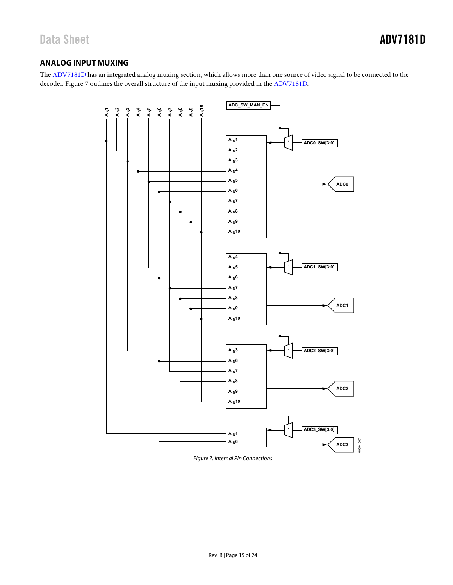#### <span id="page-14-0"></span>**ANALOG INPUT MUXING**

The [ADV7181D h](http://www.analog.com/ADV7181D)as an integrated analog muxing section, which allows more than one source of video signal to be connected to the decoder[. Figure 7 o](#page-14-1)utlines the overall structure of the input muxing provided in th[e ADV7181D.](http://www.analog.com/ADV7181D) 



<span id="page-14-1"></span>Figure 7. Internal Pin Connections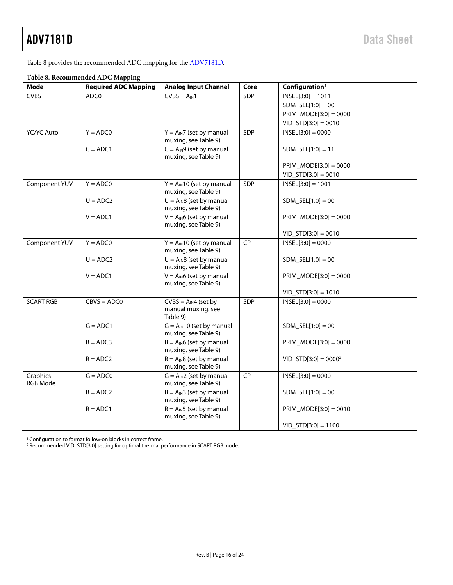[Table 8](#page-15-0) provides the recommended ADC mapping for th[e ADV7181D.](http://www.analog.com/ADV7181D) 

|                             | raoic of recommended the c mapping |                                                         |           |                            |
|-----------------------------|------------------------------------|---------------------------------------------------------|-----------|----------------------------|
| Mode                        | <b>Required ADC Mapping</b>        | <b>Analog Input Channel</b>                             | Core      | Configuration <sup>1</sup> |
| <b>CVBS</b>                 | ADC0                               | $CVBS = AIN1$                                           | SDP       | $INSEL[3:0] = 1011$        |
|                             |                                    |                                                         |           | $SDM\_SEL[1:0] = 00$       |
|                             |                                    |                                                         |           | $PRIM_MODE[3:0] = 0000$    |
|                             |                                    |                                                         |           | $VID_STD[3:0] = 0010$      |
| YC/YC Auto                  | $Y = ADC0$                         | $Y = A_{IN}7$ (set by manual<br>muxing, see Table 9)    | SDP       | $INSEL[3:0] = 0000$        |
|                             | $C = ADC1$                         | $C = A_{IN}9$ (set by manual<br>muxing, see Table 9)    |           | $SDM_SEL[1:0] = 11$        |
|                             |                                    |                                                         |           | $PRIM_MODE[3:0] = 0000$    |
|                             |                                    |                                                         |           | $VID_STD[3:0] = 0010$      |
| Component YUV               | $Y = ADC0$                         | $Y = A_{IN}10$ (set by manual<br>muxing, see Table 9)   | SDP       | $INSEL[3:0] = 1001$        |
|                             | $U = ADC2$                         | $U = A_{IN}8$ (set by manual<br>muxing, see Table 9)    |           | $SDM$ _SEL $[1:0] = 00$    |
|                             | $V = ADC1$                         | $V = A_{IN}6$ (set by manual<br>muxing, see Table 9)    |           | $PRIM_MODE[3:0] = 0000$    |
|                             |                                    |                                                         |           | $VID\_STD[3:0] = 0010$     |
| Component YUV               | $Y = ADC0$                         | $Y = A_{IN}10$ (set by manual<br>muxing, see Table 9)   | <b>CP</b> | $INSEL[3:0] = 0000$        |
|                             | $U = ADC2$                         | $U = A_{IN}8$ (set by manual<br>muxing, see Table 9)    |           | $SDM\_SEL[1:0] = 00$       |
|                             | $V = ADC1$                         | $V = A_{IN}6$ (set by manual<br>muxing, see Table 9)    |           | $PRIM_MODE[3:0] = 0000$    |
|                             |                                    |                                                         |           | $VID_STD[3:0] = 1010$      |
| <b>SCART RGB</b>            | $CBVS = ADC0$                      | $CVBS = AIN4$ (set by<br>manual muxing. see<br>Table 9) | SDP       | $INSEL[3:0] = 0000$        |
|                             | $G = ADC1$                         | $G = A_{IN}10$ (set by manual<br>muxing. see Table 9)   |           | $SDM\_SEL[1:0] = 00$       |
|                             | $B = ADC3$                         | $B = A_{IN}6$ (set by manual<br>muxing. see Table 9)    |           | PRIM_MODE $[3:0] = 0000$   |
|                             | $R = ADC2$                         | $R = A_{IN}8$ (set by manual<br>muxing. see Table 9)    |           | $VID\_STD[3:0] = 00002$    |
| Graphics<br><b>RGB Mode</b> | $G = ADC0$                         | $G = A_{IN}2$ (set by manual<br>muxing, see Table 9)    | CP        | $INSEL[3:0] = 0000$        |
|                             | $B = ADC2$                         | $B = A_{IN}3$ (set by manual<br>muxing, see Table 9)    |           | $SDM\_SEL[1:0] = 00$       |
|                             | $R = ADC1$                         | $R = A_{IN}5$ (set by manual<br>muxing, see Table 9)    |           | $PRIM_MODE[3:0] = 0010$    |
|                             |                                    |                                                         |           | $VID_STD[3:0] = 1100$      |

#### <span id="page-15-0"></span>**Table 8. Recommended ADC Mapping**

<sup>1</sup> Configuration to format follow-on blocks in correct frame.

<sup>2</sup> Recommended VID\_STD[3:0] setting for optimal thermal performance in SCART RGB mode.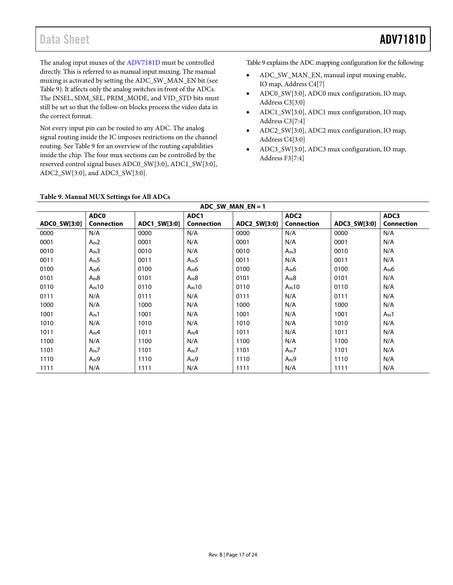The analog input muxes of th[e ADV7181D](http://www.analog.com/ADV7181D) must be controlled directly. This is referred to as manual input muxing. The manual muxing is activated by setting the ADC\_SW\_MAN\_EN bit (see [Table 9\)](#page-16-0). It affects only the analog switches in front of the ADCs. The INSEL, SDM\_SEL, PRIM\_MODE, and VID\_STD bits must still be set so that the follow-on blocks process the video data in the correct format.

Not every input pin can be routed to any ADC. The analog signal routing inside the IC imposes restrictions on the channel routing. Se[e Table 9](#page-16-0) for an overview of the routing capabilities inside the chip. The four mux sections can be controlled by the reserved control signal buses ADC0\_SW[3:0], ADC1\_SW[3:0], ADC2\_SW[3:0], and ADC3\_SW[3:0].

[Table 9](#page-16-0) explains the ADC mapping configuration for the following:

- ADC\_SW\_MAN\_EN, manual input muxing enable, IO map, Address C4[7]
- ADC0\_SW[3:0], ADC0 mux configuration, IO map, Address C3[3:0]
- ADC1\_SW[3:0], ADC1 mux configuration, IO map, Address C3[7:4]
- ADC2\_SW[3:0], ADC2 mux configuration, IO map, Address C4[3:0]
- ADC3\_SW[3:0], ADC3 mux configuration, IO map, Address F3[7:4]

#### <span id="page-16-0"></span>**Table 9. Manual MUX Settings for All ADCs**

| ADC SW MAN $EN = 1$ |                   |              |                   |              |                   |              |                   |
|---------------------|-------------------|--------------|-------------------|--------------|-------------------|--------------|-------------------|
|                     | <b>ADC0</b>       |              | ADC1              |              | ADC <sub>2</sub>  |              | ADC3              |
| ADC0_SW[3:0]        | <b>Connection</b> | ADC1_SW[3:0] | Connection        | ADC2_SW[3:0] | <b>Connection</b> | ADC3_SW[3:0] | <b>Connection</b> |
| 0000                | N/A               | 0000         | N/A               | 0000         | N/A               | 0000         | N/A               |
| 0001                | $A_{IN}2$         | 0001         | N/A               | 0001         | N/A               | 0001         | N/A               |
| 0010                | $A_{IN}3$         | 0010         | N/A               | 0010         | A <sub>IN</sub> 3 | 0010         | N/A               |
| 0011                | A <sub>IN</sub> 5 | 0011         | $A_{IN}5$         | 0011         | N/A               | 0011         | N/A               |
| 0100                | $A_{IN}6$         | 0100         | A <sub>IN</sub> 6 | 0100         | $A_{IN}6$         | 0100         | $A_{IN}6$         |
| 0101                | $A_{IN}8$         | 0101         | $A_{IN}8$         | 0101         | $A_{IN}8$         | 0101         | N/A               |
| 0110                | $A_{IN}10$        | 0110         | $A_{IN}10$        | 0110         | $A_{IN}10$        | 0110         | N/A               |
| 0111                | N/A               | 0111         | N/A               | 0111         | N/A               | 0111         | N/A               |
| 1000                | N/A               | 1000         | N/A               | 1000         | N/A               | 1000         | N/A               |
| 1001                | $A_{IN}1$         | 1001         | N/A               | 1001         | N/A               | 1001         | A <sub>IN</sub> 1 |
| 1010                | N/A               | 1010         | N/A               | 1010         | N/A               | 1010         | N/A               |
| 1011                | $A_{IN}4$         | 1011         | $A_{IN}4$         | 1011         | N/A               | 1011         | N/A               |
| 1100                | N/A               | 1100         | N/A               | 1100         | N/A               | 1100         | N/A               |
| 1101                | $A_{IN}$ 7        | 1101         | $A_{IN}$ 7        | 1101         | $A_{IN}$ 7        | 1101         | N/A               |
| 1110                | $A_{IN}9$         | 1110         | $A_{IN}9$         | 1110         | $A_{IN}9$         | 1110         | N/A               |
| 1111                | N/A               | 1111         | N/A               | 1111         | N/A               | 1111         | N/A               |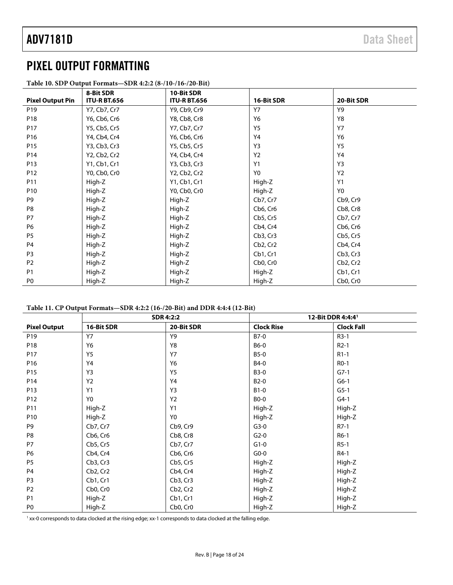### <span id="page-17-0"></span>PIXEL OUTPUT FORMATTING

|                         | 8-Bit SDR           | 10-Bit SDR          |                                   |                                   |
|-------------------------|---------------------|---------------------|-----------------------------------|-----------------------------------|
| <b>Pixel Output Pin</b> | <b>ITU-R BT.656</b> | <b>ITU-R BT.656</b> | 16-Bit SDR                        | 20-Bit SDR                        |
| P <sub>19</sub>         | Y7, Cb7, Cr7        | Y9, Cb9, Cr9        | <b>Y7</b>                         | Y9                                |
| P18                     | Y6, Cb6, Cr6        | Y8, Cb8, Cr8        | Y6                                | Y8                                |
| P17                     | Y5, Cb5, Cr5        | Y7, Cb7, Cr7        | <b>Y5</b>                         | <b>Y7</b>                         |
| P <sub>16</sub>         | Y4, Cb4, Cr4        | Y6, Cb6, Cr6        | Y4                                | Y6                                |
| P <sub>15</sub>         | Y3, Cb3, Cr3        | Y5, Cb5, Cr5        | Y3                                | <b>Y5</b>                         |
| P14                     | Y2, Cb2, Cr2        | Y4, Cb4, Cr4        | Y2                                | Y4                                |
| P <sub>13</sub>         | Y1, Cb1, Cr1        | Y3, Cb3, Cr3        | Y1                                | Y3                                |
| P12                     | Y0, Cb0, Cr0        | Y2, Cb2, Cr2        | Y <sub>0</sub>                    | <b>Y2</b>                         |
| P11                     | High-Z              | Y1, Cb1, Cr1        | High-Z                            | <b>Y1</b>                         |
| P <sub>10</sub>         | High-Z              | Y0, Cb0, Cr0        | High-Z                            | Y0                                |
| P9                      | High-Z              | High-Z              | Cb7, Cr7                          | Cb9, Cr9                          |
| P8                      | High-Z              | High-Z              | Cb6, Cr6                          | Cb8, Cr8                          |
| P7                      | High-Z              | High-Z              | Cb5, Cr5                          | Cb7, Cr7                          |
| <b>P6</b>               | High-Z              | High-Z              | Cb4, Cr4                          | Cb6, Cr6                          |
| P <sub>5</sub>          | High-Z              | High-Z              | Cb3, Cr3                          | Cb5, Cr5                          |
| P4                      | High-Z              | High-Z              | Cb2, Cr2                          | Cb4, Cr4                          |
| P <sub>3</sub>          | High-Z              | High-Z              | Cb1, Cr1                          | Cb3, Cr3                          |
| P <sub>2</sub>          | High-Z              | High-Z              | Cb <sub>0</sub> , Cr <sub>0</sub> | Cb2, Cr2                          |
| <b>P1</b>               | High-Z              | High-Z              | High-Z                            | Cb1, Cr1                          |
| P <sub>0</sub>          | High-Z              | High-Z              | High-Z                            | Cb <sub>0</sub> , Cr <sub>0</sub> |

<span id="page-17-1"></span>**Table 10. SDP Output Formats—SDR 4:2:2 (8-/10-/16-/20-Bit)**

#### <span id="page-17-2"></span>**Table 11. CP Output Formats—SDR 4:2:2 (16-/20-Bit) and DDR 4:4:4 (12-Bit)**

|                     |                                   | <b>SDR 4:2:2</b>                  | 12-Bit DDR 4:4:4 <sup>1</sup> |                   |
|---------------------|-----------------------------------|-----------------------------------|-------------------------------|-------------------|
| <b>Pixel Output</b> | 16-Bit SDR                        | 20-Bit SDR                        | <b>Clock Rise</b>             | <b>Clock Fall</b> |
| P <sub>19</sub>     | <b>Y7</b>                         | Y9                                | B7-0                          | $R3-1$            |
| P18                 | Y6                                | Y8                                | <b>B6-0</b>                   | $R2-1$            |
| P17                 | <b>Y5</b>                         | <b>Y7</b>                         | <b>B5-0</b>                   | $R1-1$            |
| P16                 | Y4                                | Y6                                | <b>B4-0</b>                   | R <sub>0</sub> -1 |
| P15                 | Y3                                | Y5                                | <b>B3-0</b>                   | $G7-1$            |
| P14                 | Y2                                | Y4                                | $B2-0$                        | $G6-1$            |
| P13                 | Y1                                | Y3                                | $B1-0$                        | $G5-1$            |
| P12                 | Y <sub>0</sub>                    | Y2                                | <b>BO-0</b>                   | $G4-1$            |
| P11                 | High-Z                            | Y1                                | High-Z                        | High-Z            |
| P10                 | High-Z                            | Y <sub>0</sub>                    | High-Z                        | High-Z            |
| P9                  | Cb7, Cr7                          | Cb9, Cr9                          | $G3-0$                        | $R7-1$            |
| P8                  | Cb6, Cr6                          | Cb8, Cr8                          | $G2-0$                        | R6-1              |
| <b>P7</b>           | Cb5, Cr5                          | Cb7, Cr7                          | $G1-0$                        | $R5-1$            |
| P <sub>6</sub>      | Cb4, Cr4                          | Cb6, Cr6                          | $G0-0$                        | R4-1              |
| P <sub>5</sub>      | Cb3, Cr3                          | Cb5, Cr5                          | High-Z                        | High-Z            |
| P <sub>4</sub>      | Cb2, Cr2                          | Cb4, Cr4                          | High-Z                        | High-Z            |
| P <sub>3</sub>      | Cb1, Cr1                          | Cb3, Cr3                          | High-Z                        | High-Z            |
| P <sub>2</sub>      | Cb <sub>0</sub> , Cr <sub>0</sub> | Cb <sub>2</sub> , Cr <sub>2</sub> | High-Z                        | High-Z            |
| P <sub>1</sub>      | High-Z                            | Cb1, Cr1                          | High-Z                        | High-Z            |
| P <sub>0</sub>      | High-Z                            | Cb0, Cr0                          | High-Z                        | High-Z            |

<sup>1</sup> xx-0 corresponds to data clocked at the rising edge; xx-1 corresponds to data clocked at the falling edge.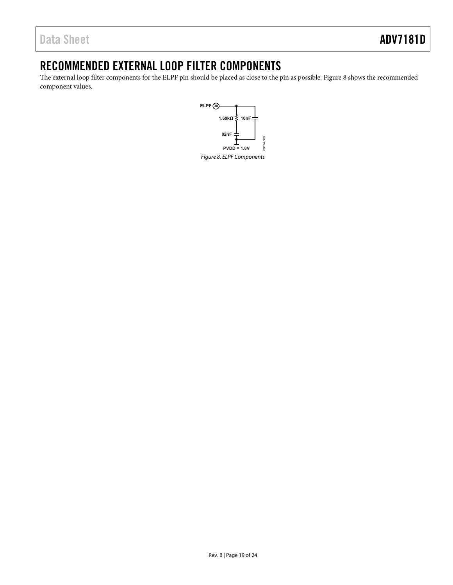### <span id="page-18-0"></span>RECOMMENDED EXTERNAL LOOP FILTER COMPONENTS

<span id="page-18-1"></span>The external loop filter components for the ELPF pin should be placed as close to the pin as possible[. Figure 8 s](#page-18-1)hows the recommended component values.

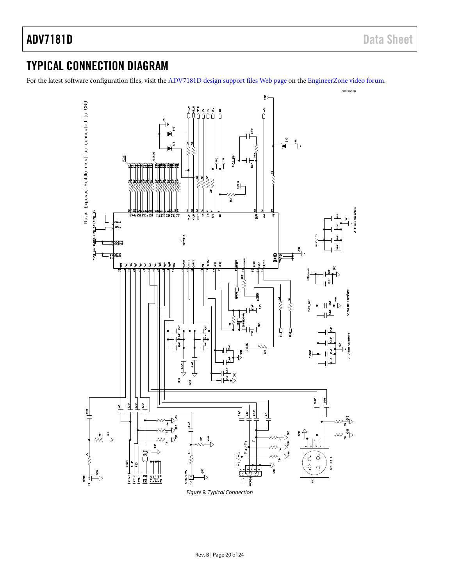### ADV7181D Data Sheet

### <span id="page-19-0"></span>TYPICAL CONNECTION DIAGRAM

For the latest software configuration files, visit th[e ADV7181D design support files Web page](http://ez.analog.com/docs/DOC-2002) on the [EngineerZone video forum.](http://ez.analog.com/community/video)

<span id="page-19-1"></span>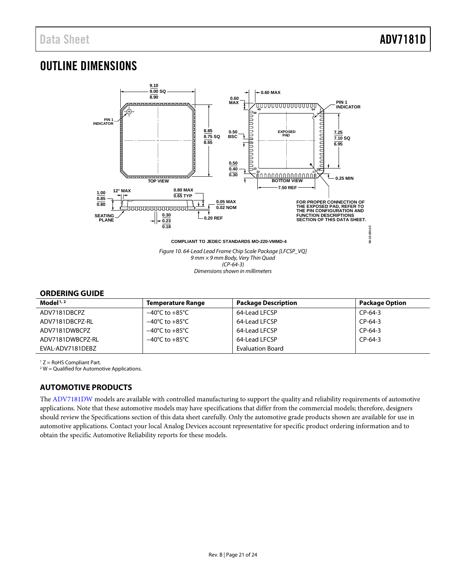### <span id="page-20-0"></span>OUTLINE DIMENSIONS



#### <span id="page-20-1"></span>**ORDERING GUIDE**

| Model $1/2$      | <b>Temperature Range</b>           | <b>Package Description</b> | <b>Package Option</b> |
|------------------|------------------------------------|----------------------------|-----------------------|
| ADV7181DBCPZ     | $-40^{\circ}$ C to $+85^{\circ}$ C | 64-Lead LFCSP              | $CP-64-3$             |
| ADV7181DBCPZ-RL  | $-40^{\circ}$ C to $+85^{\circ}$ C | 64-Lead LFCSP              | $CP-64-3$             |
| ADV7181DWBCPZ    | $-40^{\circ}$ C to $+85^{\circ}$ C | 64-Lead LFCSP              | $CP-64-3$             |
| ADV7181DWBCPZ-RL | $-40^{\circ}$ C to $+85^{\circ}$ C | 64-Lead LFCSP              | $CP-64-3$             |
| EVAL-ADV7181DEBZ |                                    | <b>Evaluation Board</b>    |                       |

 $1 Z =$  RoHS Compliant Part.

 $2 W =$  Qualified for Automotive Applications.

#### <span id="page-20-2"></span>**AUTOMOTIVE PRODUCTS**

The [ADV7181DW](http://analog.com/ADV7181D) models are available with controlled manufacturing to support the quality and reliability requirements of automotive applications. Note that these automotive models may have specifications that differ from the commercial models; therefore, designers should review th[e Specifications](#page-3-0) section of this data sheet carefully. Only the automotive grade products shown are available for use in automotive applications. Contact your local Analog Devices account representative for specific product ordering information and to obtain the specific Automotive Reliability reports for these models.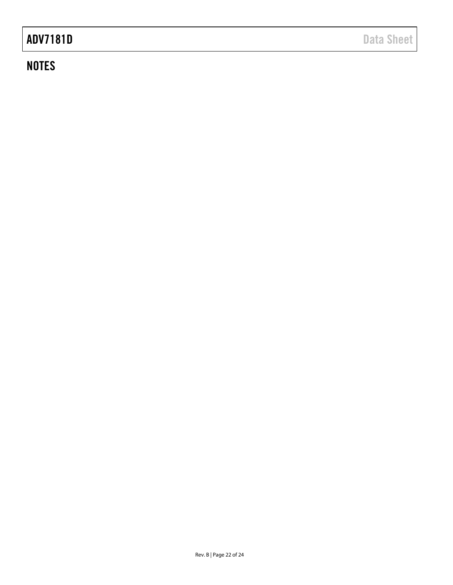# ADV7181D Data Sheet

### **NOTES**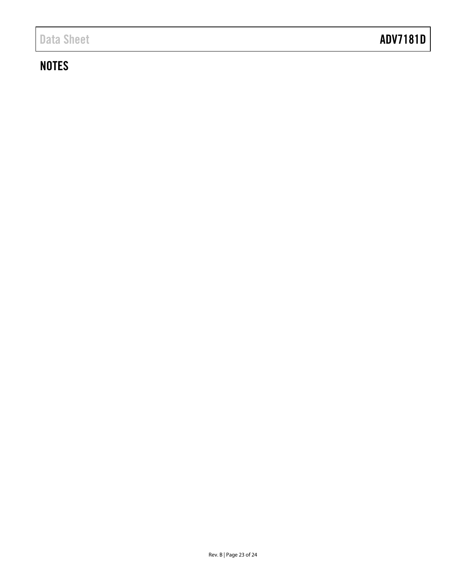## **NOTES**